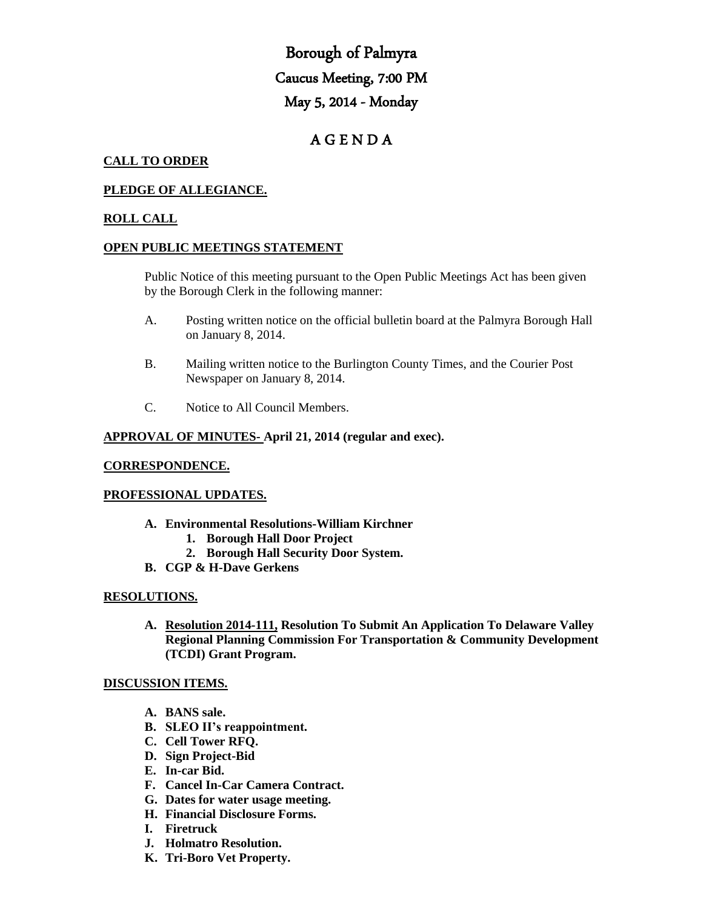# Borough of Palmyra Caucus Meeting, 7:00 PM May 5, 2014 - Monday

## A G E N D A

## **CALL TO ORDER**

## **PLEDGE OF ALLEGIANCE.**

## **ROLL CALL**

#### **OPEN PUBLIC MEETINGS STATEMENT**

Public Notice of this meeting pursuant to the Open Public Meetings Act has been given by the Borough Clerk in the following manner:

- A. Posting written notice on the official bulletin board at the Palmyra Borough Hall on January 8, 2014.
- B. Mailing written notice to the Burlington County Times, and the Courier Post Newspaper on January 8, 2014.
- C. Notice to All Council Members.

## **APPROVAL OF MINUTES- April 21, 2014 (regular and exec).**

#### **CORRESPONDENCE.**

## **PROFESSIONAL UPDATES.**

- **A. Environmental Resolutions-William Kirchner**
	- **1. Borough Hall Door Project**
	- **2. Borough Hall Security Door System.**
- **B. CGP & H-Dave Gerkens**

## **RESOLUTIONS.**

**A. Resolution 2014-111, Resolution To Submit An Application To Delaware Valley Regional Planning Commission For Transportation & Community Development (TCDI) Grant Program.** 

#### **DISCUSSION ITEMS.**

- **A. BANS sale.**
- **B. SLEO II's reappointment.**
- **C. Cell Tower RFQ.**
- **D. Sign Project-Bid**
- **E. In-car Bid.**
- **F. Cancel In-Car Camera Contract.**
- **G. Dates for water usage meeting.**
- **H. Financial Disclosure Forms.**
- **I. Firetruck**
- **J. Holmatro Resolution.**
- **K. Tri-Boro Vet Property.**